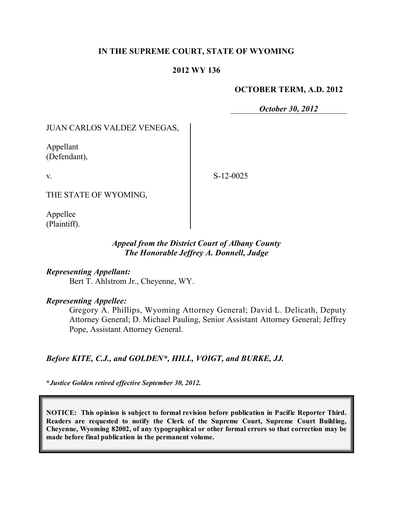## **IN THE SUPREME COURT, STATE OF WYOMING**

#### **2012 WY 136**

#### **OCTOBER TERM, A.D. 2012**

*October 30, 2012*

JUAN CARLOS VALDEZ VENEGAS,

Appellant (Defendant),

v.

S-12-0025

THE STATE OF WYOMING,

Appellee (Plaintiff).

## *Appeal from the District Court of Albany County The Honorable Jeffrey A. Donnell, Judge*

*Representing Appellant:* Bert T. Ahlstrom Jr., Cheyenne, WY.

#### *Representing Appellee:*

Gregory A. Phillips, Wyoming Attorney General; David L. Delicath, Deputy Attorney General; D. Michael Pauling, Senior Assistant Attorney General; Jeffrey Pope, Assistant Attorney General.

*Before KITE, C.J., and GOLDEN\*, HILL, VOIGT, and BURKE, JJ.*

**\****Justice Golden retired effective September 30, 2012.*

**NOTICE: This opinion is subject to formal revision before publication in Pacific Reporter Third. Readers are requested to notify the Clerk of the Supreme Court, Supreme Court Building, Cheyenne, Wyoming 82002, of any typographical or other formal errors so that correction may be made before final publication in the permanent volume.**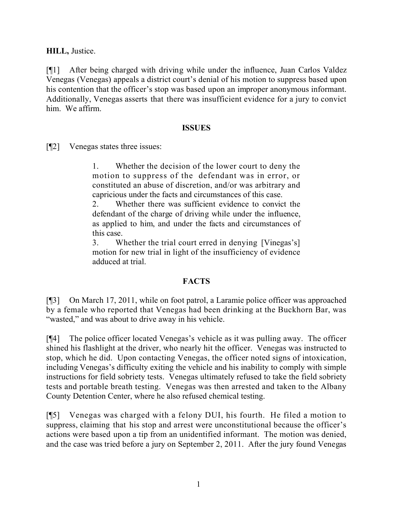**HILL,** Justice.

[¶1] After being charged with driving while under the influence, Juan Carlos Valdez Venegas (Venegas) appeals a district court's denial of his motion to suppress based upon his contention that the officer's stop was based upon an improper anonymous informant. Additionally, Venegas asserts that there was insufficient evidence for a jury to convict him. We affirm.

## **ISSUES**

[¶2] Venegas states three issues:

1. Whether the decision of the lower court to deny the motion to suppress of the defendant was in error, or constituted an abuse of discretion, and/or was arbitrary and capricious under the facts and circumstances of this case.

2. Whether there was sufficient evidence to convict the defendant of the charge of driving while under the influence, as applied to him, and under the facts and circumstances of this case.

3. Whether the trial court erred in denying [Vinegas's] motion for new trial in light of the insufficiency of evidence adduced at trial.

## **FACTS**

[¶3] On March 17, 2011, while on foot patrol, a Laramie police officer was approached by a female who reported that Venegas had been drinking at the Buckhorn Bar, was "wasted," and was about to drive away in his vehicle.

[¶4] The police officer located Venegas's vehicle as it was pulling away. The officer shined his flashlight at the driver, who nearly hit the officer. Venegas was instructed to stop, which he did. Upon contacting Venegas, the officer noted signs of intoxication, including Venegas's difficulty exiting the vehicle and his inability to comply with simple instructions for field sobriety tests. Venegas ultimately refused to take the field sobriety tests and portable breath testing. Venegas was then arrested and taken to the Albany County Detention Center, where he also refused chemical testing.

[¶5] Venegas was charged with a felony DUI, his fourth. He filed a motion to suppress, claiming that his stop and arrest were unconstitutional because the officer's actions were based upon a tip from an unidentified informant. The motion was denied, and the case was tried before a jury on September 2, 2011. After the jury found Venegas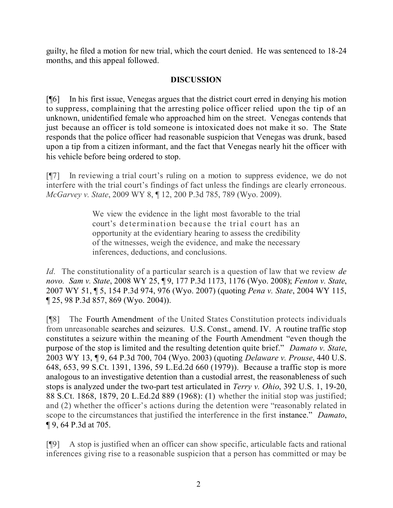guilty, he filed a motion for new trial, which the court denied. He was sentenced to 18-24 months, and this appeal followed.

# **DISCUSSION**

[¶6] In his first issue, Venegas argues that the district court erred in denying his motion to suppress, complaining that the arresting police officer relied upon the tip of an unknown, unidentified female who approached him on the street. Venegas contends that just because an officer is told someone is intoxicated does not make it so. The State responds that the police officer had reasonable suspicion that Venegas was drunk, based upon a tip from a citizen informant, and the fact that Venegas nearly hit the officer with his vehicle before being ordered to stop.

[¶7] In reviewing a trial court's ruling on a motion to suppress evidence, we do not interfere with the trial court's findings of fact unless the findings are clearly erroneous. *McGarvey v. State*, 2009 WY 8, ¶ 12, 200 P.3d 785, 789 (Wyo. 2009).

> We view the evidence in the light most favorable to the trial court's determination because the trial court has an opportunity at the evidentiary hearing to assess the credibility of the witnesses, weigh the evidence, and make the necessary inferences, deductions, and conclusions.

*Id.* The constitutionality of a particular search is a question of law that we review *de novo. Sam v. State*, 2008 WY 25, ¶ 9, 177 P.3d 1173, 1176 (Wyo. 2008); *Fenton v. State*, 2007 WY 51, ¶ 5, 154 P.3d 974, 976 (Wyo. 2007) (quoting *Pena v. State*, 2004 WY 115, ¶ 25, 98 P.3d 857, 869 (Wyo. 2004)).

[¶8] The Fourth Amendment of the United States Constitution protects individuals from unreasonable searches and seizures. U.S. Const., amend. IV. A routine traffic stop constitutes a seizure within the meaning of the Fourth Amendment "even though the purpose of the stop is limited and the resulting detention quite brief." *Damato v. State*, 2003 WY 13, ¶ 9, 64 P.3d 700, 704 (Wyo. 2003) (quoting *Delaware v. Prouse*, 440 U.S. 648, 653, 99 S.Ct. 1391, 1396, 59 L.Ed.2d 660 (1979)). Because a traffic stop is more analogous to an investigative detention than a custodial arrest, the reasonableness of such stops is analyzed under the two-part test articulated in *Terry v. Ohio*, 392 U.S. 1, 19-20, 88 S.Ct. 1868, 1879, 20 L.Ed.2d 889 (1968): (1) whether the initial stop was justified; and (2) whether the officer's actions during the detention were "reasonably related in scope to the circumstances that justified the interference in the first instance." *Damato*, ¶ 9, 64 P.3d at 705.

[¶9] A stop is justified when an officer can show specific, articulable facts and rational inferences giving rise to a reasonable suspicion that a person has committed or may be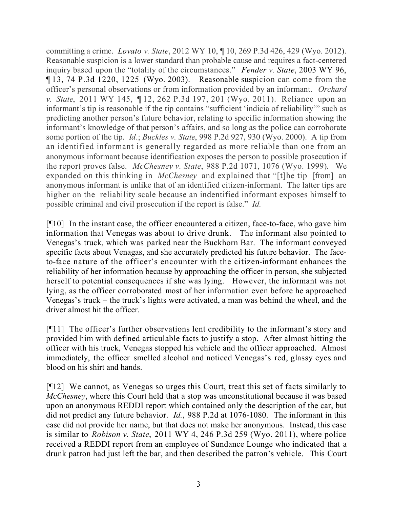committing a crime. *Lovato v. State*, 2012 WY 10, ¶ 10, 269 P.3d 426, 429 (Wyo. 2012). Reasonable suspicion is a lower standard than probable cause and requires a fact-centered inquiry based upon the "totality of the circumstances." *Fender v. State*, 2003 WY 96, ¶ 13, 74 P.3d 1220, 1225 (Wyo. 2003). Reasonable suspicion can come from the officer's personal observations or from information provided by an informant. *Orchard v. State*, 2011 WY 145, ¶ 12, 262 P.3d 197, 201 (Wyo. 2011). Reliance upon an informant's tip is reasonable if the tip contains "sufficient 'indicia of reliability'" such as predicting another person's future behavior, relating to specific information showing the informant's knowledge of that person's affairs, and so long as the police can corroborate some portion of the tip. *Id*.; *Buckles v. State*, 998 P.2d 927, 930 (Wyo. 2000). A tip from an identified informant is generally regarded as more reliable than one from an anonymous informant because identification exposes the person to possible prosecution if the report proves false. *McChesney v. State*, 988 P.2d 1071, 1076 (Wyo. 1999). We expanded on this thinking in *McChesney* and explained that "[t]he tip [from] an anonymous informant is unlike that of an identified citizen-informant. The latter tips are higher on the reliability scale because an indentified informant exposes himself to possible criminal and civil prosecution if the report is false." *Id.*

[¶10] In the instant case, the officer encountered a citizen, face-to-face, who gave him information that Venegas was about to drive drunk. The informant also pointed to Venegas's truck, which was parked near the Buckhorn Bar. The informant conveyed specific facts about Venagas, and she accurately predicted his future behavior. The faceto-face nature of the officer's encounter with the citizen-informant enhances the reliability of her information because by approaching the officer in person, she subjected herself to potential consequences if she was lying. However, the informant was not lying, as the officer corroborated most of her information even before he approached Venegas's truck – the truck's lights were activated, a man was behind the wheel, and the driver almost hit the officer.

[¶11] The officer's further observations lent credibility to the informant's story and provided him with defined articulable facts to justify a stop. After almost hitting the officer with his truck, Venegas stopped his vehicle and the officer approached. Almost immediately, the officer smelled alcohol and noticed Venegas's red, glassy eyes and blood on his shirt and hands.

[¶12] We cannot, as Venegas so urges this Court, treat this set of facts similarly to *McChesney*, where this Court held that a stop was unconstitutional because it was based upon an anonymous REDDI report which contained only the description of the car, but did not predict any future behavior. *Id.*, 988 P.2d at 1076-1080. The informant in this case did not provide her name, but that does not make her anonymous. Instead, this case is similar to *Robison v. State*, 2011 WY 4, 246 P.3d 259 (Wyo. 2011), where police received a REDDI report from an employee of Sundance Lounge who indicated that a drunk patron had just left the bar, and then described the patron's vehicle. This Court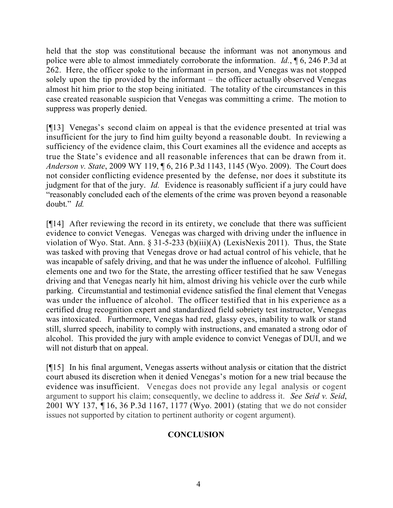held that the stop was constitutional because the informant was not anonymous and police were able to almost immediately corroborate the information. *Id.*, ¶ 6, 246 P.3d at 262. Here, the officer spoke to the informant in person, and Venegas was not stopped solely upon the tip provided by the informant – the officer actually observed Venegas almost hit him prior to the stop being initiated. The totality of the circumstances in this case created reasonable suspicion that Venegas was committing a crime. The motion to suppress was properly denied.

[¶13] Venegas's second claim on appeal is that the evidence presented at trial was insufficient for the jury to find him guilty beyond a reasonable doubt. In reviewing a sufficiency of the evidence claim, this Court examines all the evidence and accepts as true the State's evidence and all reasonable inferences that can be drawn from it. *Anderson v. State*, 2009 WY 119, ¶ 6, 216 P.3d 1143, 1145 (Wyo. 2009). The Court does not consider conflicting evidence presented by the defense, nor does it substitute its judgment for that of the jury. *Id.* Evidence is reasonably sufficient if a jury could have "reasonably concluded each of the elements of the crime was proven beyond a reasonable doubt." *Id.*

[¶14] After reviewing the record in its entirety, we conclude that there was sufficient evidence to convict Venegas. Venegas was charged with driving under the influence in violation of Wyo. Stat. Ann. § 31-5-233 (b)(iii)(A) (LexisNexis 2011). Thus, the State was tasked with proving that Venegas drove or had actual control of his vehicle, that he was incapable of safely driving, and that he was under the influence of alcohol. Fulfilling elements one and two for the State, the arresting officer testified that he saw Venegas driving and that Venegas nearly hit him, almost driving his vehicle over the curb while parking. Circumstantial and testimonial evidence satisfied the final element that Venegas was under the influence of alcohol. The officer testified that in his experience as a certified drug recognition expert and standardized field sobriety test instructor, Venegas was intoxicated. Furthermore, Venegas had red, glassy eyes, inability to walk or stand still, slurred speech, inability to comply with instructions, and emanated a strong odor of alcohol. This provided the jury with ample evidence to convict Venegas of DUI, and we will not disturb that on appeal.

[¶15] In his final argument, Venegas asserts without analysis or citation that the district court abused its discretion when it denied Venegas's motion for a new trial because the evidence was insufficient. Venegas does not provide any legal analysis or cogent argument to support his claim; consequently, we decline to address it. *See Seid v. Seid*, 2001 WY 137, ¶ 16, 36 P.3d 1167, 1177 (Wyo. 2001) (stating that we do not consider issues not supported by citation to pertinent authority or cogent argument).

## **CONCLUSION**